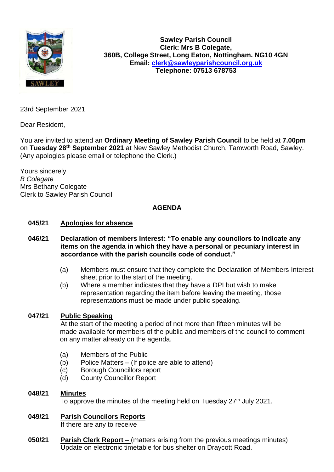

**Sawley Parish Council Clerk: Mrs B Colegate, 360B, College Street, Long Eaton, Nottingham. NG10 4GN Email: [clerk@sawleyparishcouncil.org.uk](mailto:clerk@sawleyparishcouncil.org.uk) Telephone: 07513 678753**

23rd September 2021

Dear Resident,

You are invited to attend an **Ordinary Meeting of Sawley Parish Council** to be held at **7.00pm** on **Tuesday 28 th September 2021** at New Sawley Methodist Church, Tamworth Road, Sawley. (Any apologies please email or telephone the Clerk.)

Yours sincerely *B Colegate* Mrs Bethany Colegate Clerk to Sawley Parish Council

# **AGENDA**

#### **045/21 Apologies for absence**

#### **046/21 Declaration of members Interest: "To enable any councilors to indicate any items on the agenda in which they have a personal or pecuniary interest in accordance with the parish councils code of conduct."**

- (a) Members must ensure that they complete the Declaration of Members Interest sheet prior to the start of the meeting.
- (b) Where a member indicates that they have a DPI but wish to make representation regarding the item before leaving the meeting, those representations must be made under public speaking.

#### **047/21 Public Speaking**

At the start of the meeting a period of not more than fifteen minutes will be made available for members of the public and members of the council to comment on any matter already on the agenda.

- (a) Members of the Public
- (b) Police Matters (If police are able to attend)
- (c) Borough Councillors report
- (d) County Councillor Report
- **048/21 Minutes**

To approve the minutes of the meeting held on Tuesday  $27<sup>th</sup>$  July 2021.

- **049/21 Parish Councilors Reports** If there are any to receive
- **050/21 Parish Clerk Report –** (matters arising from the previous meetings minutes) Update on electronic timetable for bus shelter on Draycott Road.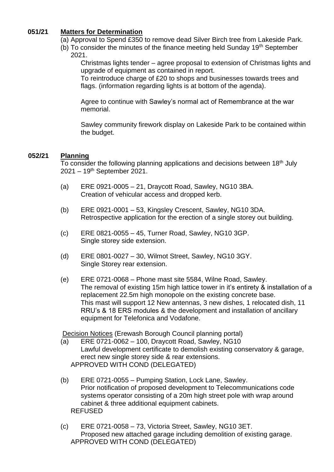## **051/21 Matters for Determination**

- (a) Approval to Spend £350 to remove dead Silver Birch tree from Lakeside Park.
- (b) To consider the minutes of the finance meeting held Sunday 19<sup>th</sup> September 2021.

Christmas lights tender – agree proposal to extension of Christmas lights and upgrade of equipment as contained in report.

To reintroduce charge of £20 to shops and businesses towards trees and flags. (information regarding lights is at bottom of the agenda).

Agree to continue with Sawley's normal act of Remembrance at the war memorial.

Sawley community firework display on Lakeside Park to be contained within the budget.

## **052/21 Planning**

To consider the following planning applications and decisions between 18th July 2021 – 19th September 2021.

- (a) ERE 0921-0005 21, Draycott Road, Sawley, NG10 3BA. Creation of vehicular access and dropped kerb.
- (b) ERE 0921-0001 53, Kingsley Crescent, Sawley, NG10 3DA. Retrospective application for the erection of a single storey out building.
- (c) ERE 0821-0055 45, Turner Road, Sawley, NG10 3GP. Single storey side extension.
- (d) ERE 0801-0027 30, Wilmot Street, Sawley, NG10 3GY. Single Storey rear extension.
- (e) ERE 0721-0068 Phone mast site 5584, Wilne Road, Sawley. The removal of existing 15m high lattice tower in it's entirety & installation of a replacement 22.5m high monopole on the existing concrete base. This mast will support 12 New antennas, 3 new dishes, 1 relocated dish, 11 RRU's & 18 ERS modules & the development and installation of ancillary equipment for Telefonica and Vodafone.

Decision Notices (Erewash Borough Council planning portal)

- (a) ERE 0721-0062 100, Draycott Road, Sawley, NG10 Lawful development certificate to demolish existing conservatory & garage, erect new single storey side & rear extensions. APPROVED WITH COND (DELEGATED)
- (b) ERE 0721-0055 Pumping Station, Lock Lane, Sawley. Prior notification of proposed development to Telecommunications code systems operator consisting of a 20m high street pole with wrap around cabinet & three additional equipment cabinets. REFUSED
- (c) ERE 0721-0058 73, Victoria Street, Sawley, NG10 3ET. Proposed new attached garage including demolition of existing garage. APPROVED WITH COND (DELEGATED)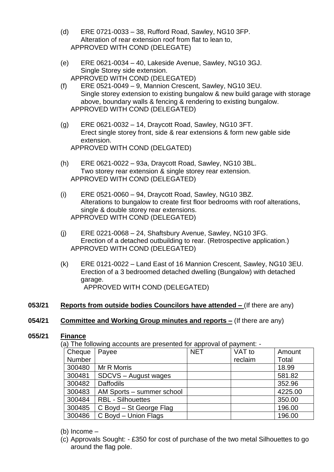- (d) ERE 0721-0033 38, Rufford Road, Sawley, NG10 3FP. Alteration of rear extension roof from flat to lean to, APPROVED WITH COND (DELEGATE)
- (e) ERE 0621-0034 40, Lakeside Avenue, Sawley, NG10 3GJ. Single Storey side extension. APPROVED WITH COND (DELEGATED)
- (f) ERE 0521-0049 9, Mannion Crescent, Sawley, NG10 3EU. Single storey extension to existing bungalow & new build garage with storage above, boundary walls & fencing & rendering to existing bungalow. APPROVED WITH COND (DELEGATED)
- (g) ERE 0621-0032 14, Draycott Road, Sawley, NG10 3FT. Erect single storey front, side & rear extensions & form new gable side extension. APPROVED WITH COND (DELGATED)
- (h) ERE 0621-0022 93a, Draycott Road, Sawley, NG10 3BL. Two storey rear extension & single storey rear extension. APPROVED WITH COND (DELEGATED)
- (i) ERE 0521-0060 94, Draycott Road, Sawley, NG10 3BZ. Alterations to bungalow to create first floor bedrooms with roof alterations, single & double storey rear extensions. APPROVED WITH COND (DELEGATED)
- (j) ERE 0221-0068 24, Shaftsbury Avenue, Sawley, NG10 3FG. Erection of a detached outbuilding to rear. (Retrospective application.) APPROVED WITH COND (DELEGATED)
- (k) ERE 0121-0022 Land East of 16 Mannion Crescent, Sawley, NG10 3EU. Erection of a 3 bedroomed detached dwelling (Bungalow) with detached garage. APPROVED WITH COND (DELEGATED)

#### **053/21 Reports from outside bodies Councilors have attended –** (If there are any)

#### **054/21 Committee and Working Group minutes and reports –** (If there are any)

#### **055/21 Finance**

(a) The following accounts are presented for approval of payment: -

| Cheque | a) Tho Tonoming accounts are proconted for approval or paymont.<br>Payee | <b>NET</b> | VAT to  | Amount  |
|--------|--------------------------------------------------------------------------|------------|---------|---------|
| Number |                                                                          |            | reclaim | Total   |
| 300480 | Mr R Morris                                                              |            |         | 18.99   |
| 300481 | SDCVS - August wages                                                     |            |         | 581.82  |
| 300482 | <b>Daffodils</b>                                                         |            |         | 352.96  |
| 300483 | AM Sports - summer school                                                |            |         | 4225.00 |
| 300484 | <b>RBL - Silhouettes</b>                                                 |            |         | 350.00  |
| 300485 | C Boyd - St George Flag                                                  |            |         | 196.00  |
| 300486 | C Boyd - Union Flags                                                     |            |         | 196.00  |

#### (b) Income –

(c) Approvals Sought: - £350 for cost of purchase of the two metal Silhouettes to go around the flag pole.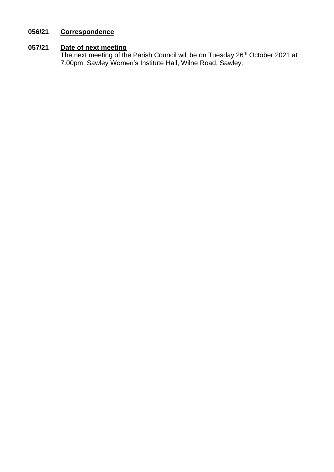# **056/21 Correspondence**

## **057/21 Date of next meeting**

The next meeting of the Parish Council will be on Tuesday 26<sup>th</sup> October 2021 at 7.00pm, Sawley Women's Institute Hall, Wilne Road, Sawley.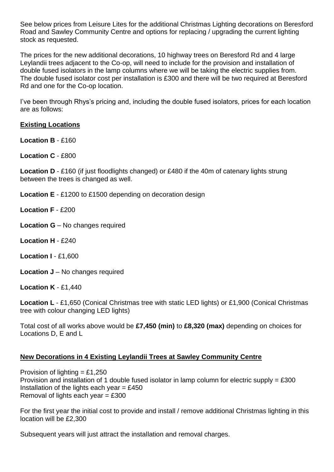See below prices from Leisure Lites for the additional Christmas Lighting decorations on Beresford Road and Sawley Community Centre and options for replacing / upgrading the current lighting stock as requested.

The prices for the new additional decorations, 10 highway trees on Beresford Rd and 4 large Leylandii trees adjacent to the Co-op, will need to include for the provision and installation of double fused isolators in the lamp columns where we will be taking the electric supplies from. The double fused isolator cost per installation is £300 and there will be two required at Beresford Rd and one for the Co-op location.

I've been through Rhys's pricing and, including the double fused isolators, prices for each location are as follows:

## **Existing Locations**

**Location B - £160** 

**Location C** - £800

**Location D** - £160 (if just floodlights changed) or £480 if the 40m of catenary lights strung between the trees is changed as well.

**Location E** - £1200 to £1500 depending on decoration design

**Location F** - £200

- **Location G** No changes required
- **Location H** £240

**Location I** - £1,600

**Location J** – No changes required

**Location K** - £1,440

**Location L** - £1,650 (Conical Christmas tree with static LED lights) or £1,900 (Conical Christmas tree with colour changing LED lights)

Total cost of all works above would be **£7,450 (min)** to **£8,320 (max)** depending on choices for Locations D, E and L

## **New Decorations in 4 Existing Leylandii Trees at Sawley Community Centre**

Provision of lighting =  $£1,250$ Provision and installation of 1 double fused isolator in lamp column for electric supply = £300 Installation of the lights each year  $=$  £450 Removal of lights each year  $= \text{\pounds}300$ 

For the first year the initial cost to provide and install / remove additional Christmas lighting in this location will be £2,300

Subsequent years will just attract the installation and removal charges.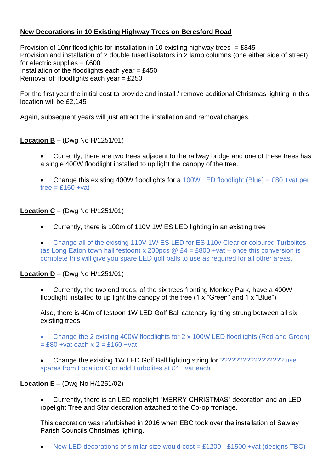# **New Decorations in 10 Existing Highway Trees on Beresford Road**

Provision of 10nr floodlights for installation in 10 existing highway trees = £845 Provision and installation of 2 double fused isolators in 2 lamp columns (one either side of street) for electric supplies  $= \text{\pounds}600$ Installation of the floodlights each year =  $£450$ Removal off floodlights each year =  $£250$ 

For the first year the initial cost to provide and install / remove additional Christmas lighting in this location will be £2,145

Again, subsequent years will just attract the installation and removal charges.

## **Location B** – (Dwg No H/1251/01)

• Currently, there are two trees adjacent to the railway bridge and one of these trees has a single 400W floodlight installed to up light the canopy of the tree.

Change this existing 400W floodlights for a 100W LED floodlight (Blue) = £80 +vat per tree  $=$  £160 +vat

## **Location C** – (Dwg No H/1251/01)

• Currently, there is 100m of 110V 1W ES LED lighting in an existing tree

• Change all of the existing 110V 1W ES LED for ES 110v Clear or coloured Turbolites (as Long Eaton town hall festoon) x 200pcs  $\omega$  £4 = £800 +vat – once this conversion is complete this will give you spare LED golf balls to use as required for all other areas.

#### **Location D** – (Dwg No H/1251/01)

• Currently, the two end trees, of the six trees fronting Monkey Park, have a 400W floodlight installed to up light the canopy of the tree (1 x "Green" and 1 x "Blue")

Also, there is 40m of festoon 1W LED Golf Ball catenary lighting strung between all six existing trees

• Change the 2 existing 400W floodlights for 2 x 100W LED floodlights (Red and Green)  $=$  £80 +vat each x 2 = £160 +vat

• Change the existing 1W LED Golf Ball lighting string for ????????????????? use spares from Location C or add Turbolites at £4 +vat each

## **Location E** – (Dwg No H/1251/02)

• Currently, there is an LED ropelight "MERRY CHRISTMAS" decoration and an LED ropelight Tree and Star decoration attached to the Co-op frontage.

This decoration was refurbished in 2016 when EBC took over the installation of Sawley Parish Councils Christmas lighting.

New LED decorations of similar size would cost =  $£1200 - £1500 + vat$  (designs TBC)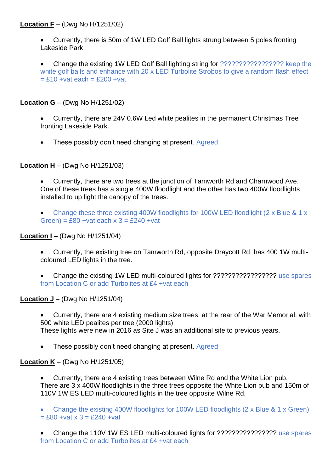## **Location F** – (Dwg No H/1251/02)

• Currently, there is 50m of 1W LED Golf Ball lights strung between 5 poles fronting Lakeside Park

• Change the existing 1W LED Golf Ball lighting string for ????????????????? keep the white golf balls and enhance with 20 x LED Turbolite Strobos to give a random flash effect  $= £10 + v$ at each  $= £200 + v$ at

**Location G** – (Dwg No H/1251/02)

- Currently, there are 24V 0.6W Led white pealites in the permanent Christmas Tree fronting Lakeside Park.
- These possibly don't need changing at present. Agreed

**Location H** – (Dwg No H/1251/03)

- Currently, there are two trees at the junction of Tamworth Rd and Charnwood Ave. One of these trees has a single 400W floodlight and the other has two 400W floodlights installed to up light the canopy of the trees.
- Change these three existing 400W floodlights for 100W LED floodlight (2 x Blue & 1 x Green) =  $£80 + vat$  each  $x = £240 + vat$

#### **Location I** – (Dwg No H/1251/04)

- Currently, the existing tree on Tamworth Rd, opposite Draycott Rd, has 400 1W multicoloured LED lights in the tree.
- Change the existing 1W LED multi-coloured lights for ????????????????? use spares from Location C or add Turbolites at £4 +vat each

#### **Location J** – (Dwg No H/1251/04)

- Currently, there are 4 existing medium size trees, at the rear of the War Memorial, with 500 white LED pealites per tree (2000 lights) These lights were new in 2016 as Site J was an additional site to previous years.
- These possibly don't need changing at present. Agreed

## **Location K** – (Dwg No H/1251/05)

- Currently, there are 4 existing trees between Wilne Rd and the White Lion pub. There are 3 x 400W floodlights in the three trees opposite the White Lion pub and 150m of 110V 1W ES LED multi-coloured lights in the tree opposite Wilne Rd.
- Change the existing 400W floodlights for 100W LED floodlights (2 x Blue & 1 x Green)  $= £80 + vat \times 3 = £240 + vat$
- Change the 110V 1W ES LED multi-coloured lights for ???????????????? use spares from Location C or add Turbolites at £4 +vat each